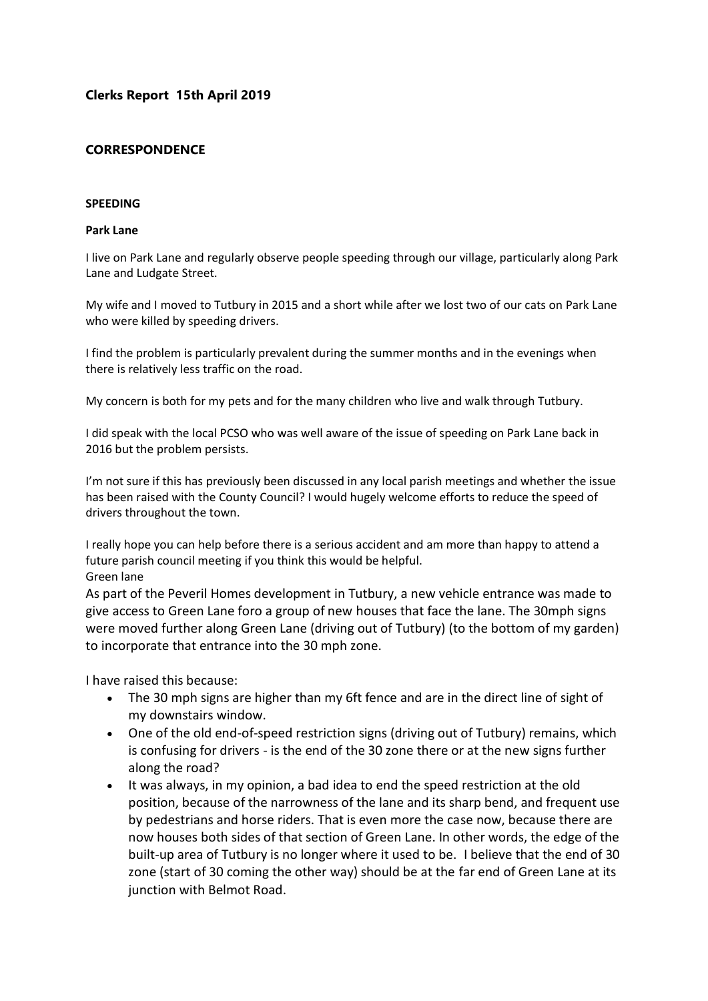## **Clerks Report 15th April 2019**

### **CORRESPONDENCE**

#### **SPEEDING**

#### **Park Lane**

I live on Park Lane and regularly observe people speeding through our village, particularly along Park Lane and Ludgate Street.

My wife and I moved to Tutbury in 2015 and a short while after we lost two of our cats on Park Lane who were killed by speeding drivers.

I find the problem is particularly prevalent during the summer months and in the evenings when there is relatively less traffic on the road.

My concern is both for my pets and for the many children who live and walk through Tutbury.

I did speak with the local PCSO who was well aware of the issue of speeding on Park Lane back in 2016 but the problem persists.

I'm not sure if this has previously been discussed in any local parish meetings and whether the issue has been raised with the County Council? I would hugely welcome efforts to reduce the speed of drivers throughout the town.

I really hope you can help before there is a serious accident and am more than happy to attend a future parish council meeting if you think this would be helpful. Green lane

As part of the Peveril Homes development in Tutbury, a new vehicle entrance was made to give access to Green Lane foro a group of new houses that face the lane. The 30mph signs were moved further along Green Lane (driving out of Tutbury) (to the bottom of my garden) to incorporate that entrance into the 30 mph zone.

I have raised this because:

- The 30 mph signs are higher than my 6ft fence and are in the direct line of sight of my downstairs window.
- One of the old end-of-speed restriction signs (driving out of Tutbury) remains, which is confusing for drivers - is the end of the 30 zone there or at the new signs further along the road?
- It was always, in my opinion, a bad idea to end the speed restriction at the old position, because of the narrowness of the lane and its sharp bend, and frequent use by pedestrians and horse riders. That is even more the case now, because there are now houses both sides of that section of Green Lane. In other words, the edge of the built-up area of Tutbury is no longer where it used to be. I believe that the end of 30 zone (start of 30 coming the other way) should be at the far end of Green Lane at its junction with Belmot Road.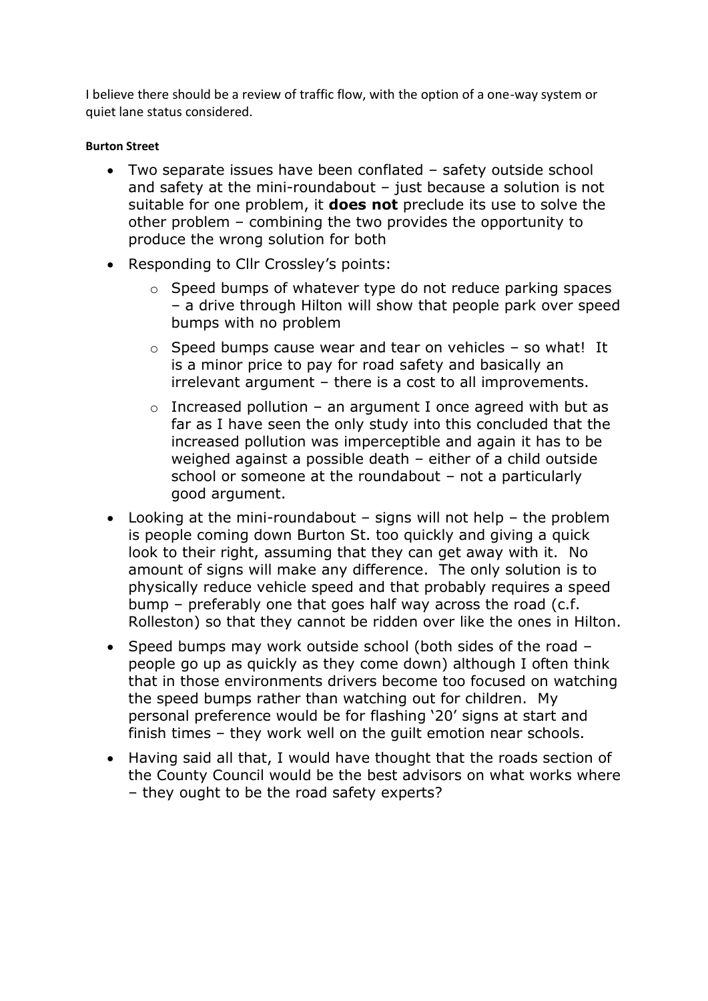I believe there should be a review of traffic flow, with the option of a one-way system or quiet lane status considered.

## **Burton Street**

- Two separate issues have been conflated safety outside school and safety at the mini-roundabout – just because a solution is not suitable for one problem, it **does not** preclude its use to solve the other problem – combining the two provides the opportunity to produce the wrong solution for both
- Responding to Cllr Crossley's points:
	- o Speed bumps of whatever type do not reduce parking spaces – a drive through Hilton will show that people park over speed bumps with no problem
	- $\circ$  Speed bumps cause wear and tear on vehicles so what! It is a minor price to pay for road safety and basically an irrelevant argument – there is a cost to all improvements.
	- $\circ$  Increased pollution an argument I once agreed with but as far as I have seen the only study into this concluded that the increased pollution was imperceptible and again it has to be weighed against a possible death – either of a child outside school or someone at the roundabout – not a particularly good argument.
- Looking at the mini-roundabout signs will not help the problem is people coming down Burton St. too quickly and giving a quick look to their right, assuming that they can get away with it. No amount of signs will make any difference. The only solution is to physically reduce vehicle speed and that probably requires a speed bump – preferably one that goes half way across the road (c.f. Rolleston) so that they cannot be ridden over like the ones in Hilton.
- Speed bumps may work outside school (both sides of the road people go up as quickly as they come down) although I often think that in those environments drivers become too focused on watching the speed bumps rather than watching out for children. My personal preference would be for flashing '20' signs at start and finish times – they work well on the guilt emotion near schools.
- Having said all that, I would have thought that the roads section of the County Council would be the best advisors on what works where – they ought to be the road safety experts?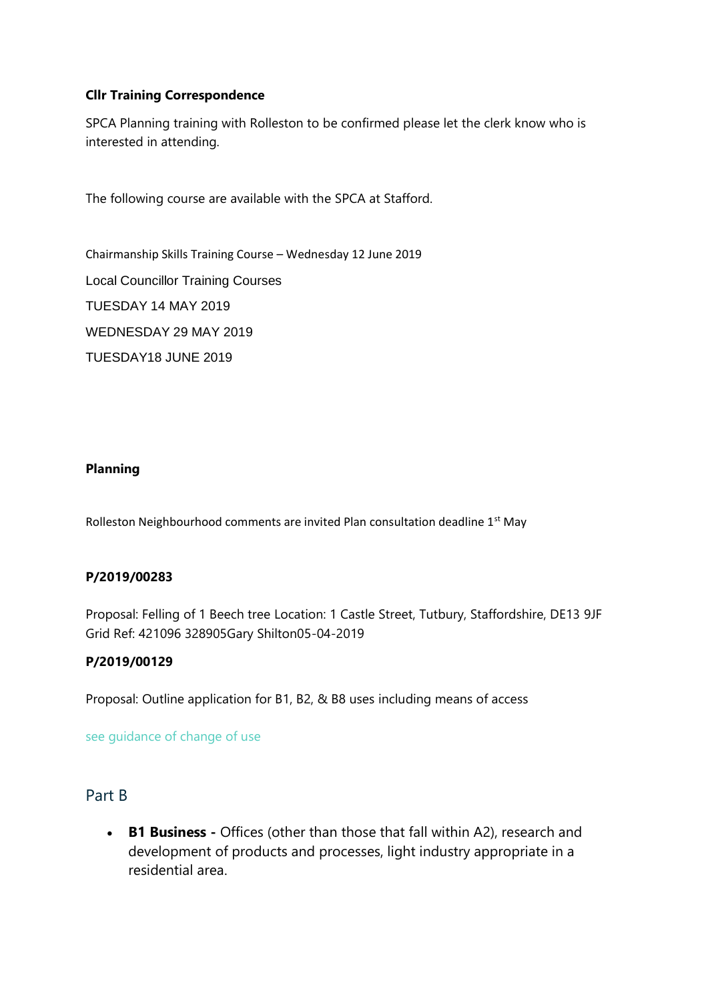## **Cllr Training Correspondence**

SPCA Planning training with Rolleston to be confirmed please let the clerk know who is interested in attending.

The following course are available with the SPCA at Stafford.

Chairmanship Skills Training Course – Wednesday 12 June 2019 Local Councillor Training Courses TUESDAY 14 MAY 2019 WEDNESDAY 29 MAY 2019 TUESDAY18 JUNE 2019

### **Planning**

Rolleston Neighbourhood comments are invited Plan consultation deadline 1<sup>st</sup> May

## **P/2019/00283**

Proposal: Felling of 1 Beech tree Location: 1 Castle Street, Tutbury, Staffordshire, DE13 9JF Grid Ref: 421096 328905Gary Shilton05-04-2019

### **[P/2019/00129](http://www.eaststaffsbc.gov.uk/MVM/Online/dms/DocumentViewer.aspx?PK=633119&SearchType=Planning%20Application)**

Proposal: Outline application for B1, B2, & B8 uses including means of access

[see guidance of change of use](https://www.planningportal.co.uk/info/200130/common_projects/9/change_of_use)

## Part B

• **B1 Business -** Offices (other than those that fall within A2), research and development of products and processes, light industry appropriate in a residential area.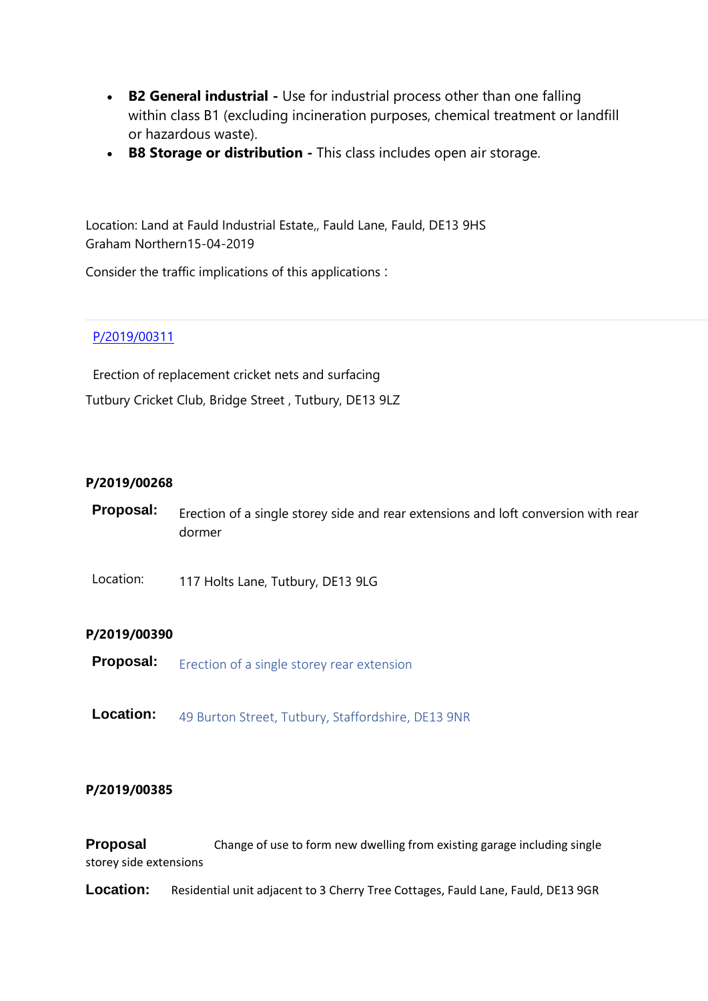- **B2 General industrial -** Use for industrial process other than one falling within class B1 (excluding incineration purposes, chemical treatment or landfill or hazardous waste).
- **B8 Storage or distribution -** This class includes open air storage.

Location: Land at Fauld Industrial Estate,, Fauld Lane, Fauld, DE13 9HS Graham Northern15-04-2019

Consider the traffic implications of this applications :

## [P/2019/00311](http://www.eaststaffsbc.gov.uk/Northgate/PlanningExplorer/Generic/StdDetails.aspx?PT=Planning%20Applications%20On-Line&TYPE=PL/PlanningPK.xml&PARAM0=633299&XSLT=/Northgate/PlanningExplorer/SiteFiles/Skins/EastStaffs/xslt/PL/PLDetails.xslt&FT=Planning%20Application%20Details&PUBLIC=Y&XMLSIDE=/Northgate/PlanningExplorer/SiteFiles/Skins/EastStaffs/Menus/PL.xml&DAURI=PLANNING)

Erection of replacement cricket nets and surfacing Tutbury Cricket Club, Bridge Street , Tutbury, DE13 9LZ

### **P/2019/00268**

- **Proposal:** Erection of a single storey side and rear extensions and loft conversion with rear dormer
- Location: 117 Holts Lane, Tutbury, DE13 9LG

### **P/2019/00390**

- **Proposal:** Erection of a single storey rear extension
- **Location:** 49 Burton Street, Tutbury, Staffordshire, DE13 9NR

### **P/2019/00385**

**Proposal** Change of use to form new dwelling from existing garage including single storey side extensions

**Location:** Residential unit adjacent to 3 Cherry Tree Cottages, Fauld Lane, Fauld, DE13 9GR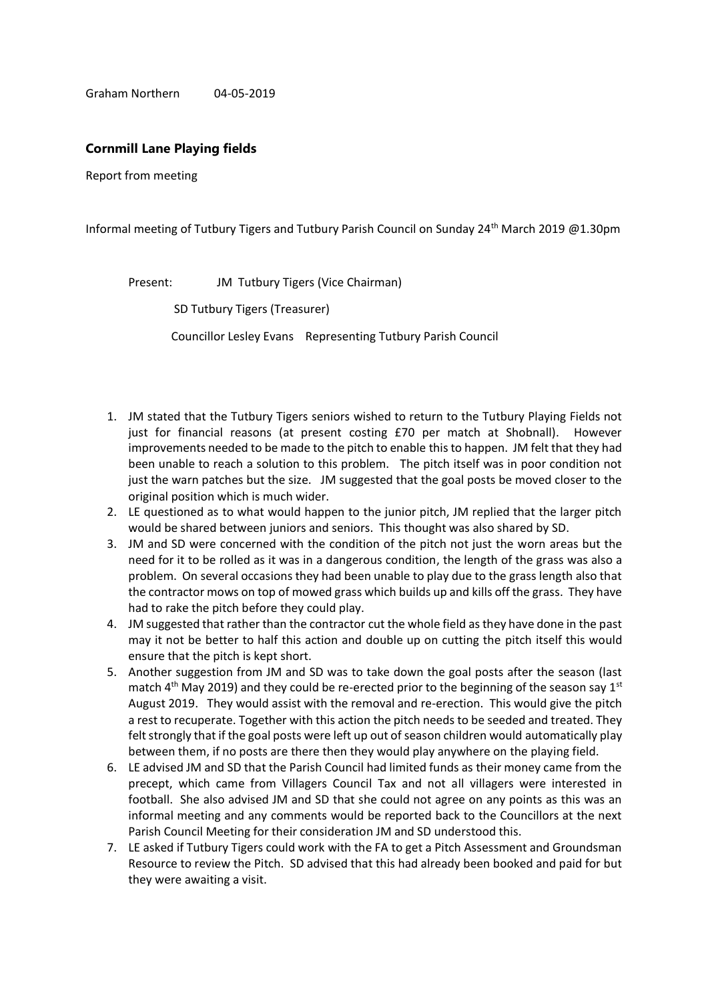Graham Northern 04-05-2019

#### **Cornmill Lane Playing fields**

Report from meeting

Informal meeting of Tutbury Tigers and Tutbury Parish Council on Sunday 24<sup>th</sup> March 2019 @1.30pm

Present: JM Tutbury Tigers (Vice Chairman)

SD Tutbury Tigers (Treasurer)

Councillor Lesley Evans Representing Tutbury Parish Council

- 1. JM stated that the Tutbury Tigers seniors wished to return to the Tutbury Playing Fields not just for financial reasons (at present costing £70 per match at Shobnall). However improvements needed to be made to the pitch to enable this to happen. JM felt that they had been unable to reach a solution to this problem. The pitch itself was in poor condition not just the warn patches but the size. JM suggested that the goal posts be moved closer to the original position which is much wider.
- 2. LE questioned as to what would happen to the junior pitch, JM replied that the larger pitch would be shared between juniors and seniors. This thought was also shared by SD.
- 3. JM and SD were concerned with the condition of the pitch not just the worn areas but the need for it to be rolled as it was in a dangerous condition, the length of the grass was also a problem. On several occasions they had been unable to play due to the grass length also that the contractor mows on top of mowed grass which builds up and kills off the grass. They have had to rake the pitch before they could play.
- 4. JM suggested that rather than the contractor cut the whole field as they have done in the past may it not be better to half this action and double up on cutting the pitch itself this would ensure that the pitch is kept short.
- 5. Another suggestion from JM and SD was to take down the goal posts after the season (last match  $4<sup>th</sup>$  May 2019) and they could be re-erected prior to the beginning of the season say  $1<sup>st</sup>$ August 2019. They would assist with the removal and re-erection. This would give the pitch a rest to recuperate. Together with this action the pitch needs to be seeded and treated. They felt strongly that if the goal posts were left up out of season children would automatically play between them, if no posts are there then they would play anywhere on the playing field.
- 6. LE advised JM and SD that the Parish Council had limited funds as their money came from the precept, which came from Villagers Council Tax and not all villagers were interested in football. She also advised JM and SD that she could not agree on any points as this was an informal meeting and any comments would be reported back to the Councillors at the next Parish Council Meeting for their consideration JM and SD understood this.
- 7. LE asked if Tutbury Tigers could work with the FA to get a Pitch Assessment and Groundsman Resource to review the Pitch. SD advised that this had already been booked and paid for but they were awaiting a visit.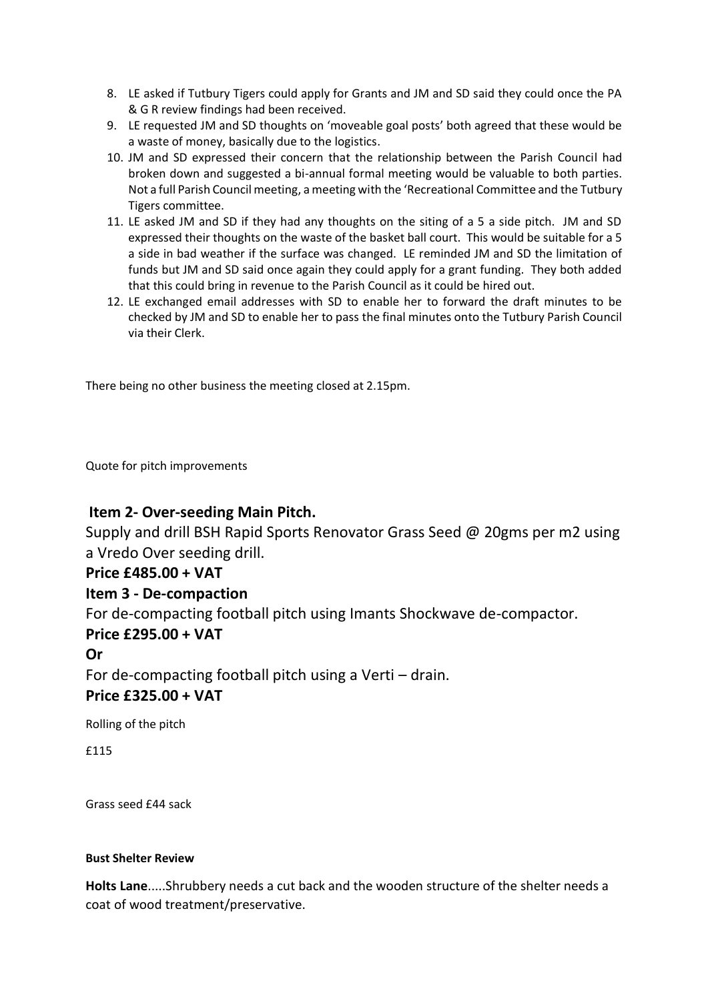- 8. LE asked if Tutbury Tigers could apply for Grants and JM and SD said they could once the PA & G R review findings had been received.
- 9. LE requested JM and SD thoughts on 'moveable goal posts' both agreed that these would be a waste of money, basically due to the logistics.
- 10. JM and SD expressed their concern that the relationship between the Parish Council had broken down and suggested a bi-annual formal meeting would be valuable to both parties. Not a full Parish Council meeting, a meeting with the 'Recreational Committee and the Tutbury Tigers committee.
- 11. LE asked JM and SD if they had any thoughts on the siting of a 5 a side pitch. JM and SD expressed their thoughts on the waste of the basket ball court. This would be suitable for a 5 a side in bad weather if the surface was changed. LE reminded JM and SD the limitation of funds but JM and SD said once again they could apply for a grant funding. They both added that this could bring in revenue to the Parish Council as it could be hired out.
- 12. LE exchanged email addresses with SD to enable her to forward the draft minutes to be checked by JM and SD to enable her to pass the final minutes onto the Tutbury Parish Council via their Clerk.

There being no other business the meeting closed at 2.15pm.

Quote for pitch improvements

# **Item 2- Over-seeding Main Pitch.**

Supply and drill BSH Rapid Sports Renovator Grass Seed @ 20gms per m2 using a Vredo Over seeding drill.

# **Price £485.00 + VAT**

# **Item 3 - De-compaction**

For de-compacting football pitch using Imants Shockwave de-compactor.

# **Price £295.00 + VAT**

# **Or**

For de-compacting football pitch using a Verti – drain. **Price £325.00 + VAT**

Rolling of the pitch

£115

Grass seed £44 sack

### **Bust Shelter Review**

**Holts Lane**.....Shrubbery needs a cut back and the wooden structure of the shelter needs a coat of wood treatment/preservative.